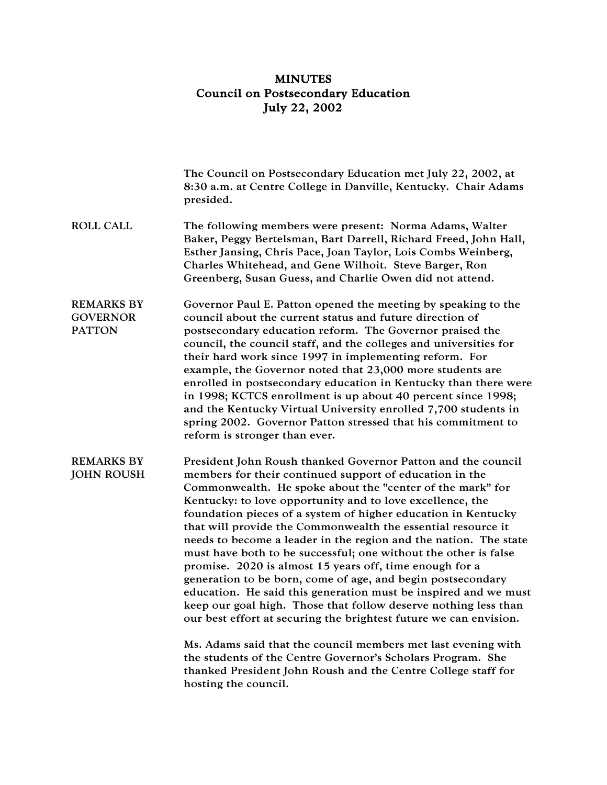## MINUTES Council on Postsecondary Education July 22, 2002

|                                                       | The Council on Postsecondary Education met July 22, 2002, at<br>8:30 a.m. at Centre College in Danville, Kentucky. Chair Adams<br>presided.                                                                                                                                                                                                                                                                                                                                                                                                                                                                                                                                                                                                                                                                                                                                                                                                                                                                                                                     |
|-------------------------------------------------------|-----------------------------------------------------------------------------------------------------------------------------------------------------------------------------------------------------------------------------------------------------------------------------------------------------------------------------------------------------------------------------------------------------------------------------------------------------------------------------------------------------------------------------------------------------------------------------------------------------------------------------------------------------------------------------------------------------------------------------------------------------------------------------------------------------------------------------------------------------------------------------------------------------------------------------------------------------------------------------------------------------------------------------------------------------------------|
| <b>ROLL CALL</b>                                      | The following members were present: Norma Adams, Walter<br>Baker, Peggy Bertelsman, Bart Darrell, Richard Freed, John Hall,<br>Esther Jansing, Chris Pace, Joan Taylor, Lois Combs Weinberg,<br>Charles Whitehead, and Gene Wilhoit. Steve Barger, Ron<br>Greenberg, Susan Guess, and Charlie Owen did not attend.                                                                                                                                                                                                                                                                                                                                                                                                                                                                                                                                                                                                                                                                                                                                              |
| <b>REMARKS BY</b><br><b>GOVERNOR</b><br><b>PATTON</b> | Governor Paul E. Patton opened the meeting by speaking to the<br>council about the current status and future direction of<br>postsecondary education reform. The Governor praised the<br>council, the council staff, and the colleges and universities for<br>their hard work since 1997 in implementing reform. For<br>example, the Governor noted that 23,000 more students are<br>enrolled in postsecondary education in Kentucky than there were<br>in 1998; KCTCS enrollment is up about 40 percent since 1998;<br>and the Kentucky Virtual University enrolled 7,700 students in<br>spring 2002. Governor Patton stressed that his commitment to<br>reform is stronger than ever.                                                                                                                                                                                                                                                                                                                                                                         |
| <b>REMARKS BY</b><br><b>JOHN ROUSH</b>                | President John Roush thanked Governor Patton and the council<br>members for their continued support of education in the<br>Commonwealth. He spoke about the "center of the mark" for<br>Kentucky: to love opportunity and to love excellence, the<br>foundation pieces of a system of higher education in Kentucky<br>that will provide the Commonwealth the essential resource it<br>needs to become a leader in the region and the nation. The state<br>must have both to be successful; one without the other is false<br>promise. 2020 is almost 15 years off, time enough for a<br>generation to be born, come of age, and begin postsecondary<br>education. He said this generation must be inspired and we must<br>keep our goal high. Those that follow deserve nothing less than<br>our best effort at securing the brightest future we can envision.<br>Ms. Adams said that the council members met last evening with<br>the students of the Centre Governor's Scholars Program. She<br>thanked President John Roush and the Centre College staff for |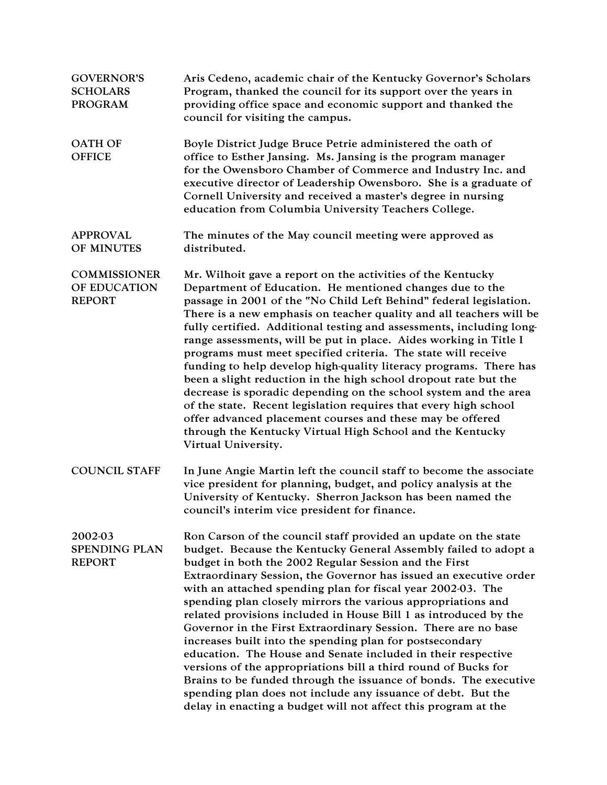| <b>GOVERNOR'S</b><br><b>SCHOLARS</b><br><b>PROGRAM</b> | Aris Cedeno, academic chair of the Kentucky Governor's Scholars<br>Program, thanked the council for its support over the years in<br>providing office space and economic support and thanked the<br>council for visiting the campus.                                                                                                                                                                                                                                                                                                                                                                                                                                                                                                                                                                                                                                                                                                      |
|--------------------------------------------------------|-------------------------------------------------------------------------------------------------------------------------------------------------------------------------------------------------------------------------------------------------------------------------------------------------------------------------------------------------------------------------------------------------------------------------------------------------------------------------------------------------------------------------------------------------------------------------------------------------------------------------------------------------------------------------------------------------------------------------------------------------------------------------------------------------------------------------------------------------------------------------------------------------------------------------------------------|
| <b>OATH OF</b><br><b>OFFICE</b>                        | Boyle District Judge Bruce Petrie administered the oath of<br>office to Esther Jansing. Ms. Jansing is the program manager<br>for the Owensboro Chamber of Commerce and Industry Inc. and<br>executive director of Leadership Owensboro. She is a graduate of<br>Cornell University and received a master's degree in nursing<br>education from Columbia University Teachers College.                                                                                                                                                                                                                                                                                                                                                                                                                                                                                                                                                     |
| <b>APPROVAL</b><br>OF MINUTES                          | The minutes of the May council meeting were approved as<br>distributed.                                                                                                                                                                                                                                                                                                                                                                                                                                                                                                                                                                                                                                                                                                                                                                                                                                                                   |
| <b>COMMISSIONER</b><br>OF EDUCATION<br><b>REPORT</b>   | Mr. Wilhoit gave a report on the activities of the Kentucky<br>Department of Education. He mentioned changes due to the<br>passage in 2001 of the "No Child Left Behind" federal legislation.<br>There is a new emphasis on teacher quality and all teachers will be<br>fully certified. Additional testing and assessments, including long-<br>range assessments, will be put in place. Aides working in Title I<br>programs must meet specified criteria. The state will receive<br>funding to help develop high-quality literacy programs. There has<br>been a slight reduction in the high school dropout rate but the<br>decrease is sporadic depending on the school system and the area<br>of the state. Recent legislation requires that every high school<br>offer advanced placement courses and these may be offered<br>through the Kentucky Virtual High School and the Kentucky<br>Virtual University.                       |
| <b>COUNCIL STAFF</b>                                   | In June Angie Martin left the council staff to become the associate<br>vice president for planning, budget, and policy analysis at the<br>University of Kentucky. Sherron Jackson has been named the<br>council's interim vice president for finance.                                                                                                                                                                                                                                                                                                                                                                                                                                                                                                                                                                                                                                                                                     |
| 2002-03<br><b>SPENDING PLAN</b><br><b>REPORT</b>       | Ron Carson of the council staff provided an update on the state<br>budget. Because the Kentucky General Assembly failed to adopt a<br>budget in both the 2002 Regular Session and the First<br>Extraordinary Session, the Governor has issued an executive order<br>with an attached spending plan for fiscal year 2002-03. The<br>spending plan closely mirrors the various appropriations and<br>related provisions included in House Bill 1 as introduced by the<br>Governor in the First Extraordinary Session. There are no base<br>increases built into the spending plan for postsecondary<br>education. The House and Senate included in their respective<br>versions of the appropriations bill a third round of Bucks for<br>Brains to be funded through the issuance of bonds. The executive<br>spending plan does not include any issuance of debt. But the<br>delay in enacting a budget will not affect this program at the |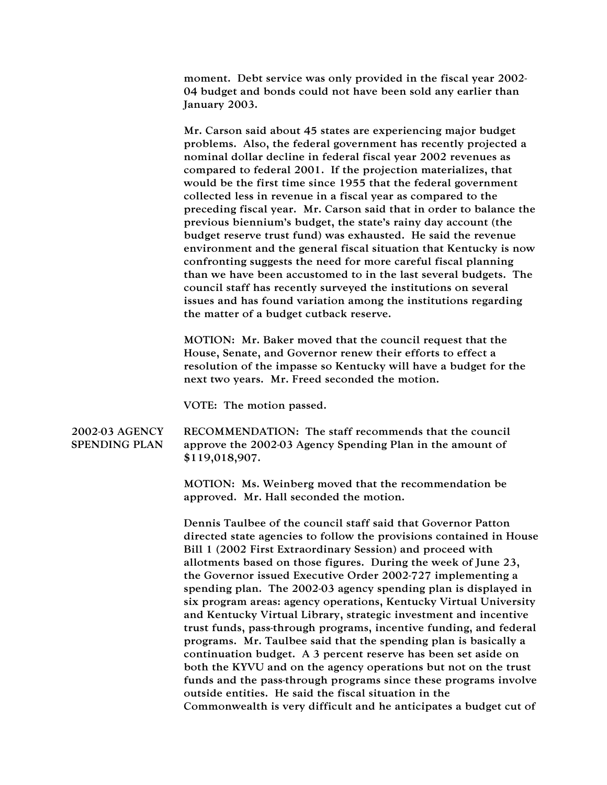moment. Debt service was only provided in the fiscal year 2002- 04 budget and bonds could not have been sold any earlier than January 2003.

Mr. Carson said about 45 states are experiencing major budget problems. Also, the federal government has recently projected a nominal dollar decline in federal fiscal year 2002 revenues as compared to federal 2001. If the projection materializes, that would be the first time since 1955 that the federal government collected less in revenue in a fiscal year as compared to the preceding fiscal year. Mr. Carson said that in order to balance the previous biennium's budget, the state's rainy day account (the budget reserve trust fund) was exhausted. He said the revenue environment and the general fiscal situation that Kentucky is now confronting suggests the need for more careful fiscal planning than we have been accustomed to in the last several budgets. The council staff has recently surveyed the institutions on several issues and has found variation among the institutions regarding the matter of a budget cutback reserve.

MOTION: Mr. Baker moved that the council request that the House, Senate, and Governor renew their efforts to effect a resolution of the impasse so Kentucky will have a budget for the next two years. Mr. Freed seconded the motion.

VOTE: The motion passed.

## 2002-03 AGENCY SPENDING PLAN RECOMMENDATION: The staff recommends that the council approve the 2002-03 Agency Spending Plan in the amount of \$119,018,907.

MOTION: Ms. Weinberg moved that the recommendation be approved. Mr. Hall seconded the motion.

Dennis Taulbee of the council staff said that Governor Patton directed state agencies to follow the provisions contained in House Bill 1 (2002 First Extraordinary Session) and proceed with allotments based on those figures. During the week of June 23, the Governor issued Executive Order 2002-727 implementing a spending plan. The 2002-03 agency spending plan is displayed in six program areas: agency operations, Kentucky Virtual University and Kentucky Virtual Library, strategic investment and incentive trust funds, pass-through programs, incentive funding, and federal programs. Mr. Taulbee said that the spending plan is basically a continuation budget. A 3 percent reserve has been set aside on both the KYVU and on the agency operations but not on the trust funds and the pass-through programs since these programs involve outside entities. He said the fiscal situation in the Commonwealth is very difficult and he anticipates a budget cut of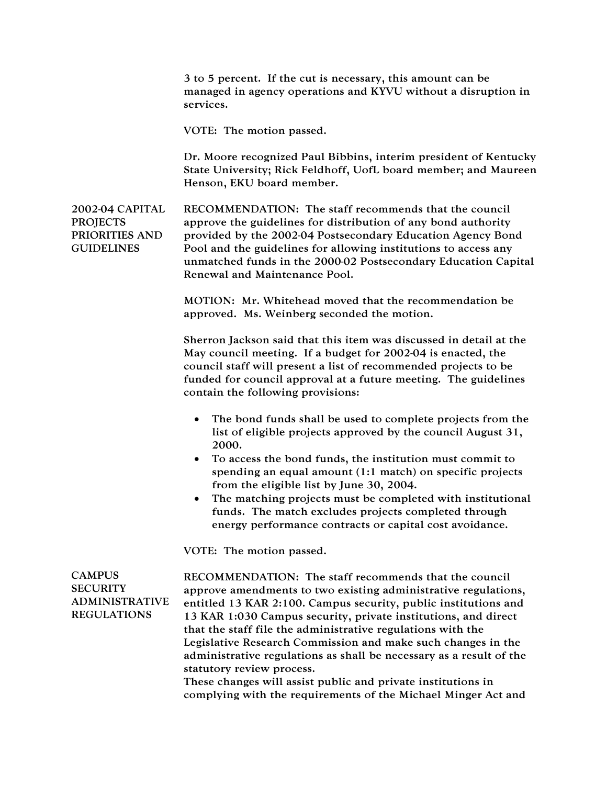3 to 5 percent. If the cut is necessary, this amount can be managed in agency operations and KYVU without a disruption in services.

VOTE: The motion passed.

Dr. Moore recognized Paul Bibbins, interim president of Kentucky State University; Rick Feldhoff, UofL board member; and Maureen Henson, EKU board member.

2002-04 CAPITAL **PROJECTS** PRIORITIES AND **GUIDELINES** RECOMMENDATION: The staff recommends that the council approve the guidelines for distribution of any bond authority provided by the 2002-04 Postsecondary Education Agency Bond Pool and the guidelines for allowing institutions to access any unmatched funds in the 2000-02 Postsecondary Education Capital Renewal and Maintenance Pool.

> MOTION: Mr. Whitehead moved that the recommendation be approved. Ms. Weinberg seconded the motion.

Sherron Jackson said that this item was discussed in detail at the May council meeting. If a budget for 2002-04 is enacted, the council staff will present a list of recommended projects to be funded for council approval at a future meeting. The guidelines contain the following provisions:

- The bond funds shall be used to complete projects from the list of eligible projects approved by the council August 31, 2000.
- To access the bond funds, the institution must commit to spending an equal amount (1:1 match) on specific projects from the eligible list by June 30, 2004.
- The matching projects must be completed with institutional funds. The match excludes projects completed through energy performance contracts or capital cost avoidance.

VOTE: The motion passed.

CAMPUS **SECURITY** ADMINISTRATIVE REGULATIONS

RECOMMENDATION: The staff recommends that the council approve amendments to two existing administrative regulations, entitled 13 KAR 2:100. Campus security, public institutions and 13 KAR 1:030 Campus security, private institutions, and direct that the staff file the administrative regulations with the Legislative Research Commission and make such changes in the administrative regulations as shall be necessary as a result of the statutory review process.

These changes will assist public and private institutions in complying with the requirements of the Michael Minger Act and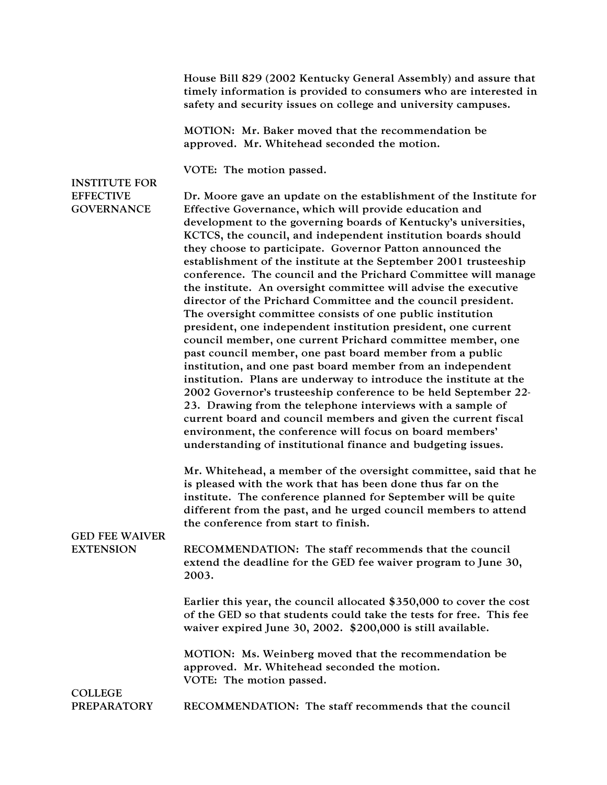House Bill 829 (2002 Kentucky General Assembly) and assure that timely information is provided to consumers who are interested in safety and security issues on college and university campuses.

MOTION: Mr. Baker moved that the recommendation be approved. Mr. Whitehead seconded the motion.

VOTE: The motion passed.

## INSTITUTE FOR **EFFECTIVE GOVERNANCE**

Dr. Moore gave an update on the establishment of the Institute for Effective Governance, which will provide education and development to the governing boards of Kentucky's universities, KCTCS, the council, and independent institution boards should they choose to participate. Governor Patton announced the establishment of the institute at the September 2001 trusteeship conference. The council and the Prichard Committee will manage the institute. An oversight committee will advise the executive director of the Prichard Committee and the council president. The oversight committee consists of one public institution president, one independent institution president, one current council member, one current Prichard committee member, one past council member, one past board member from a public institution, and one past board member from an independent institution. Plans are underway to introduce the institute at the 2002 Governor's trusteeship conference to be held September 22- 23. Drawing from the telephone interviews with a sample of current board and council members and given the current fiscal environment, the conference will focus on board members' understanding of institutional finance and budgeting issues.

Mr. Whitehead, a member of the oversight committee, said that he is pleased with the work that has been done thus far on the institute. The conference planned for September will be quite different from the past, and he urged council members to attend the conference from start to finish.

## GED FEE WAIVER EXTENSION

RECOMMENDATION: The staff recommends that the council extend the deadline for the GED fee waiver program to June 30, 2003.

Earlier this year, the council allocated \$350,000 to cover the cost of the GED so that students could take the tests for free. This fee waiver expired June 30, 2002. \$200,000 is still available.

MOTION: Ms. Weinberg moved that the recommendation be approved. Mr. Whitehead seconded the motion. VOTE: The motion passed.

**COLLEGE** PREPARATORY

RECOMMENDATION: The staff recommends that the council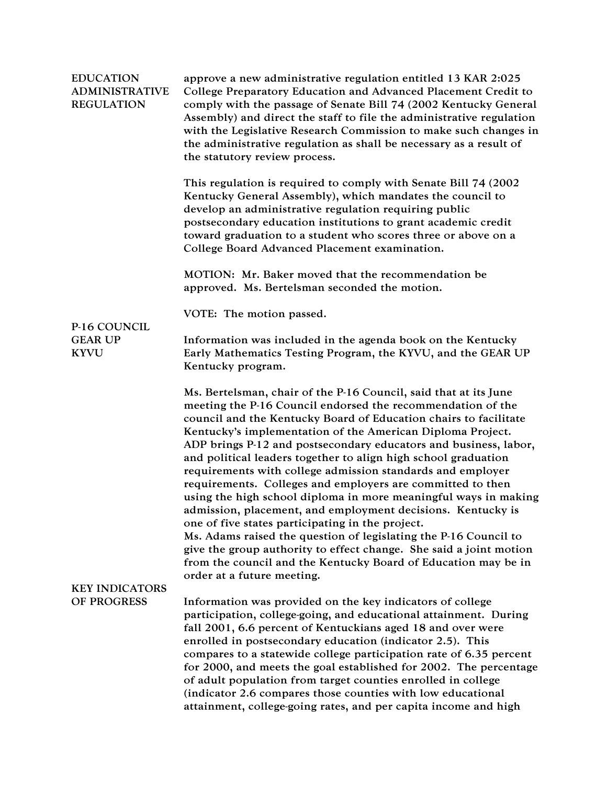| <b>EDUCATION</b><br><b>ADMINISTRATIVE</b><br><b>REGULATION</b> | approve a new administrative regulation entitled 13 KAR 2:025<br>College Preparatory Education and Advanced Placement Credit to<br>comply with the passage of Senate Bill 74 (2002 Kentucky General<br>Assembly) and direct the staff to file the administrative regulation<br>with the Legislative Research Commission to make such changes in<br>the administrative regulation as shall be necessary as a result of<br>the statutory review process.                                                                                                                                                                                                                                                                                                                                                                                                                                                                                                              |
|----------------------------------------------------------------|---------------------------------------------------------------------------------------------------------------------------------------------------------------------------------------------------------------------------------------------------------------------------------------------------------------------------------------------------------------------------------------------------------------------------------------------------------------------------------------------------------------------------------------------------------------------------------------------------------------------------------------------------------------------------------------------------------------------------------------------------------------------------------------------------------------------------------------------------------------------------------------------------------------------------------------------------------------------|
|                                                                | This regulation is required to comply with Senate Bill 74 (2002)<br>Kentucky General Assembly), which mandates the council to<br>develop an administrative regulation requiring public<br>postsecondary education institutions to grant academic credit<br>toward graduation to a student who scores three or above on a<br>College Board Advanced Placement examination.                                                                                                                                                                                                                                                                                                                                                                                                                                                                                                                                                                                           |
|                                                                | MOTION: Mr. Baker moved that the recommendation be<br>approved. Ms. Bertelsman seconded the motion.                                                                                                                                                                                                                                                                                                                                                                                                                                                                                                                                                                                                                                                                                                                                                                                                                                                                 |
|                                                                | VOTE: The motion passed.                                                                                                                                                                                                                                                                                                                                                                                                                                                                                                                                                                                                                                                                                                                                                                                                                                                                                                                                            |
| P-16 COUNCIL<br><b>GEAR UP</b><br><b>KYVU</b>                  | Information was included in the agenda book on the Kentucky<br>Early Mathematics Testing Program, the KYVU, and the GEAR UP<br>Kentucky program.                                                                                                                                                                                                                                                                                                                                                                                                                                                                                                                                                                                                                                                                                                                                                                                                                    |
|                                                                | Ms. Bertelsman, chair of the P-16 Council, said that at its June<br>meeting the P-16 Council endorsed the recommendation of the<br>council and the Kentucky Board of Education chairs to facilitate<br>Kentucky's implementation of the American Diploma Project.<br>ADP brings P-12 and postsecondary educators and business, labor,<br>and political leaders together to align high school graduation<br>requirements with college admission standards and employer<br>requirements. Colleges and employers are committed to then<br>using the high school diploma in more meaningful ways in making<br>admission, placement, and employment decisions. Kentucky is<br>one of five states participating in the project.<br>Ms. Adams raised the question of legislating the P-16 Council to<br>give the group authority to effect change. She said a joint motion<br>from the council and the Kentucky Board of Education may be in<br>order at a future meeting. |
| <b>KEY INDICATORS</b><br>OF PROGRESS                           | Information was provided on the key indicators of college<br>participation, college-going, and educational attainment. During<br>fall 2001, 6.6 percent of Kentuckians aged 18 and over were<br>enrolled in postsecondary education (indicator 2.5). This<br>compares to a statewide college participation rate of 6.35 percent<br>for 2000, and meets the goal established for 2002. The percentage<br>of adult population from target counties enrolled in college<br>(indicator 2.6 compares those counties with low educational<br>attainment, college-going rates, and per capita income and high                                                                                                                                                                                                                                                                                                                                                              |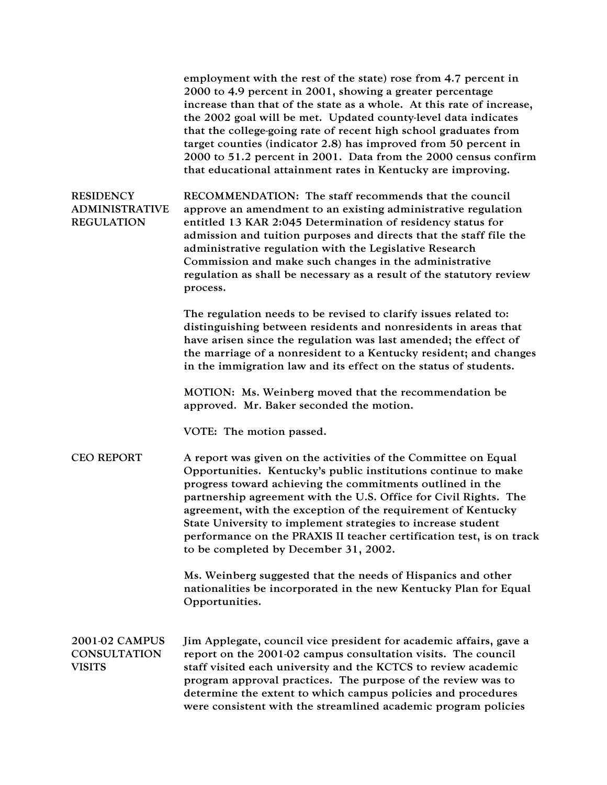employment with the rest of the state) rose from 4.7 percent in 2000 to 4.9 percent in 2001, showing a greater percentage increase than that of the state as a whole. At this rate of increase, the 2002 goal will be met. Updated county-level data indicates that the college-going rate of recent high school graduates from target counties (indicator 2.8) has improved from 50 percent in 2000 to 51.2 percent in 2001. Data from the 2000 census confirm that educational attainment rates in Kentucky are improving.

**RESIDENCY** ADMINISTRATIVE REGULATION RECOMMENDATION: The staff recommends that the council approve an amendment to an existing administrative regulation entitled 13 KAR 2:045 Determination of residency status for admission and tuition purposes and directs that the staff file the administrative regulation with the Legislative Research Commission and make such changes in the administrative regulation as shall be necessary as a result of the statutory review process.

> The regulation needs to be revised to clarify issues related to: distinguishing between residents and nonresidents in areas that have arisen since the regulation was last amended; the effect of the marriage of a nonresident to a Kentucky resident; and changes in the immigration law and its effect on the status of students.

MOTION: Ms. Weinberg moved that the recommendation be approved. Mr. Baker seconded the motion.

VOTE: The motion passed.

CEO REPORT A report was given on the activities of the Committee on Equal Opportunities. Kentucky's public institutions continue to make progress toward achieving the commitments outlined in the partnership agreement with the U.S. Office for Civil Rights. The agreement, with the exception of the requirement of Kentucky State University to implement strategies to increase student performance on the PRAXIS II teacher certification test, is on track to be completed by December 31, 2002.

> Ms. Weinberg suggested that the needs of Hispanics and other nationalities be incorporated in the new Kentucky Plan for Equal Opportunities.

2001-02 CAMPUS **CONSULTATION** VISITS Jim Applegate, council vice president for academic affairs, gave a report on the 2001-02 campus consultation visits. The council staff visited each university and the KCTCS to review academic program approval practices. The purpose of the review was to determine the extent to which campus policies and procedures were consistent with the streamlined academic program policies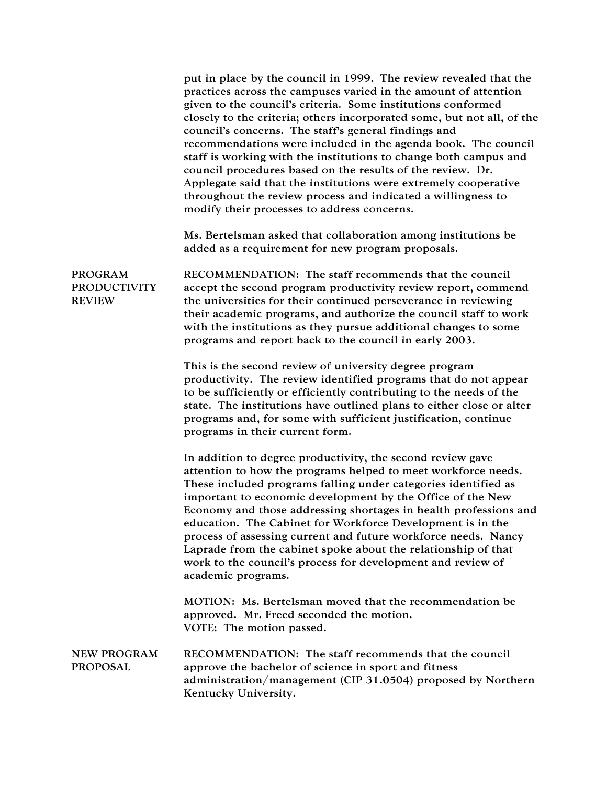|                                                        | put in place by the council in 1999. The review revealed that the<br>practices across the campuses varied in the amount of attention<br>given to the council's criteria. Some institutions conformed<br>closely to the criteria; others incorporated some, but not all, of the<br>council's concerns. The staff's general findings and<br>recommendations were included in the agenda book. The council<br>staff is working with the institutions to change both campus and<br>council procedures based on the results of the review. Dr.<br>Applegate said that the institutions were extremely cooperative<br>throughout the review process and indicated a willingness to<br>modify their processes to address concerns. |
|--------------------------------------------------------|-----------------------------------------------------------------------------------------------------------------------------------------------------------------------------------------------------------------------------------------------------------------------------------------------------------------------------------------------------------------------------------------------------------------------------------------------------------------------------------------------------------------------------------------------------------------------------------------------------------------------------------------------------------------------------------------------------------------------------|
|                                                        | Ms. Bertelsman asked that collaboration among institutions be<br>added as a requirement for new program proposals.                                                                                                                                                                                                                                                                                                                                                                                                                                                                                                                                                                                                          |
| <b>PROGRAM</b><br><b>PRODUCTIVITY</b><br><b>REVIEW</b> | RECOMMENDATION: The staff recommends that the council<br>accept the second program productivity review report, commend<br>the universities for their continued perseverance in reviewing<br>their academic programs, and authorize the council staff to work<br>with the institutions as they pursue additional changes to some<br>programs and report back to the council in early 2003.                                                                                                                                                                                                                                                                                                                                   |
|                                                        | This is the second review of university degree program<br>productivity. The review identified programs that do not appear<br>to be sufficiently or efficiently contributing to the needs of the<br>state. The institutions have outlined plans to either close or alter<br>programs and, for some with sufficient justification, continue<br>programs in their current form.                                                                                                                                                                                                                                                                                                                                                |
|                                                        | In addition to degree productivity, the second review gave<br>attention to how the programs helped to meet workforce needs.<br>These included programs falling under categories identified as<br>important to economic development by the Office of the New<br>Economy and those addressing shortages in health professions and<br>education. The Cabinet for Workforce Development is in the<br>process of assessing current and future workforce needs. Nancy<br>Laprade from the cabinet spoke about the relationship of that<br>work to the council's process for development and review of<br>academic programs.                                                                                                       |
|                                                        | MOTION: Ms. Bertelsman moved that the recommendation be<br>approved. Mr. Freed seconded the motion.<br>VOTE: The motion passed.                                                                                                                                                                                                                                                                                                                                                                                                                                                                                                                                                                                             |
| <b>NEW PROGRAM</b><br><b>PROPOSAL</b>                  | RECOMMENDATION: The staff recommends that the council<br>approve the bachelor of science in sport and fitness<br>administration/management (CIP 31.0504) proposed by Northern<br>Kentucky University.                                                                                                                                                                                                                                                                                                                                                                                                                                                                                                                       |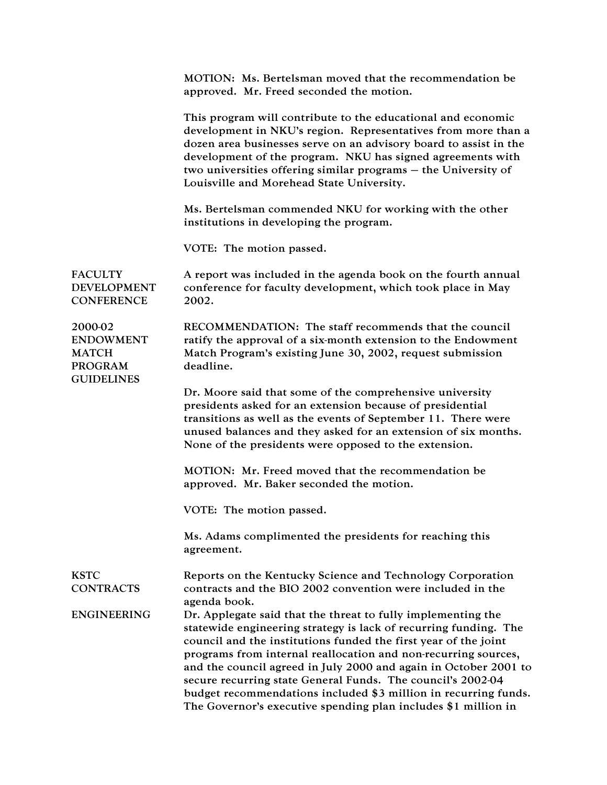MOTION: Ms. Bertelsman moved that the recommendation be approved. Mr. Freed seconded the motion.

This program will contribute to the educational and economic development in NKU's region. Representatives from more than a dozen area businesses serve on an advisory board to assist in the development of the program. NKU has signed agreements with two universities offering similar programs – the University of Louisville and Morehead State University.

Ms. Bertelsman commended NKU for working with the other institutions in developing the program.

VOTE: The motion passed.

**FACULTY** DEVELOPMENT **CONFERENCE** A report was included in the agenda book on the fourth annual conference for faculty development, which took place in May 2002.

2000-02 ENDOWMENT MATCH PROGRAM RECOMMENDATION: The staff recommends that the council ratify the approval of a six-month extension to the Endowment Match Program's existing June 30, 2002, request submission deadline.

> Dr. Moore said that some of the comprehensive university presidents asked for an extension because of presidential transitions as well as the events of September 11. There were unused balances and they asked for an extension of six months. None of the presidents were opposed to the extension.

MOTION: Mr. Freed moved that the recommendation be approved. Mr. Baker seconded the motion.

VOTE: The motion passed.

Ms. Adams complimented the presidents for reaching this agreement.

Reports on the Kentucky Science and Technology Corporation contracts and the BIO 2002 convention were included in the

KSTC **CONTRACTS** 

**GUIDELINES** 

agenda book.

ENGINEERING Dr. Applegate said that the threat to fully implementing the statewide engineering strategy is lack of recurring funding. The council and the institutions funded the first year of the joint programs from internal reallocation and non-recurring sources, and the council agreed in July 2000 and again in October 2001 to secure recurring state General Funds. The council's 2002-04 budget recommendations included \$3 million in recurring funds. The Governor's executive spending plan includes \$1 million in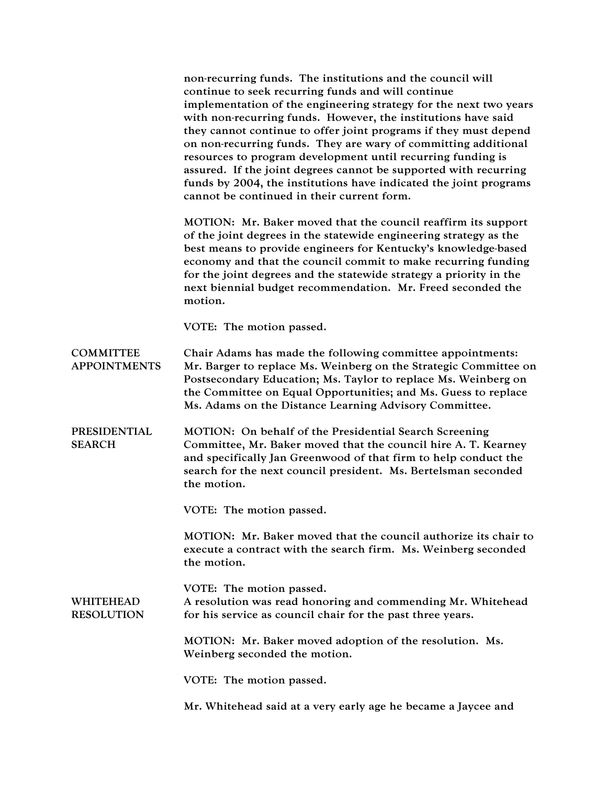|                                         | non-recurring funds. The institutions and the council will<br>continue to seek recurring funds and will continue<br>implementation of the engineering strategy for the next two years<br>with non-recurring funds. However, the institutions have said<br>they cannot continue to offer joint programs if they must depend<br>on non-recurring funds. They are wary of committing additional<br>resources to program development until recurring funding is<br>assured. If the joint degrees cannot be supported with recurring<br>funds by 2004, the institutions have indicated the joint programs<br>cannot be continued in their current form. |
|-----------------------------------------|----------------------------------------------------------------------------------------------------------------------------------------------------------------------------------------------------------------------------------------------------------------------------------------------------------------------------------------------------------------------------------------------------------------------------------------------------------------------------------------------------------------------------------------------------------------------------------------------------------------------------------------------------|
|                                         | MOTION: Mr. Baker moved that the council reaffirm its support<br>of the joint degrees in the statewide engineering strategy as the<br>best means to provide engineers for Kentucky's knowledge-based<br>economy and that the council commit to make recurring funding<br>for the joint degrees and the statewide strategy a priority in the<br>next biennial budget recommendation. Mr. Freed seconded the<br>motion.                                                                                                                                                                                                                              |
|                                         | VOTE: The motion passed.                                                                                                                                                                                                                                                                                                                                                                                                                                                                                                                                                                                                                           |
| <b>COMMITTEE</b><br><b>APPOINTMENTS</b> | Chair Adams has made the following committee appointments:<br>Mr. Barger to replace Ms. Weinberg on the Strategic Committee on<br>Postsecondary Education; Ms. Taylor to replace Ms. Weinberg on<br>the Committee on Equal Opportunities; and Ms. Guess to replace<br>Ms. Adams on the Distance Learning Advisory Committee.                                                                                                                                                                                                                                                                                                                       |
| PRESIDENTIAL<br><b>SEARCH</b>           | MOTION: On behalf of the Presidential Search Screening<br>Committee, Mr. Baker moved that the council hire A. T. Kearney<br>and specifically Jan Greenwood of that firm to help conduct the<br>search for the next council president. Ms. Bertelsman seconded<br>the motion.                                                                                                                                                                                                                                                                                                                                                                       |
|                                         | VOTE: The motion passed.                                                                                                                                                                                                                                                                                                                                                                                                                                                                                                                                                                                                                           |
|                                         | MOTION: Mr. Baker moved that the council authorize its chair to<br>execute a contract with the search firm. Ms. Weinberg seconded<br>the motion.                                                                                                                                                                                                                                                                                                                                                                                                                                                                                                   |
| <b>WHITEHEAD</b><br><b>RESOLUTION</b>   | VOTE: The motion passed.<br>A resolution was read honoring and commending Mr. Whitehead<br>for his service as council chair for the past three years.                                                                                                                                                                                                                                                                                                                                                                                                                                                                                              |
|                                         | MOTION: Mr. Baker moved adoption of the resolution. Ms.<br>Weinberg seconded the motion.                                                                                                                                                                                                                                                                                                                                                                                                                                                                                                                                                           |
|                                         | VOTE: The motion passed.                                                                                                                                                                                                                                                                                                                                                                                                                                                                                                                                                                                                                           |
|                                         | Mr. Whitehead said at a very early age he became a Jaycee and                                                                                                                                                                                                                                                                                                                                                                                                                                                                                                                                                                                      |